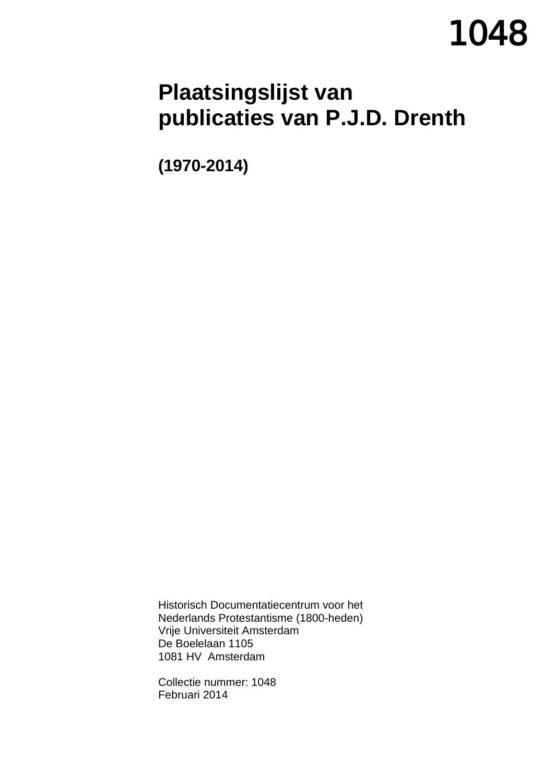# **1048**

# **Plaatsingslijst van publicaties van P.J.D. Drenth**

**(1970-2014)**

Historisch Documentatiecentrum voor het Nederlands Protestantisme (1800-heden) Vrije Universiteit Amsterdam De Boelelaan 1105 1081 HV Amsterdam

Collectie nummer: 1048 Februari 2014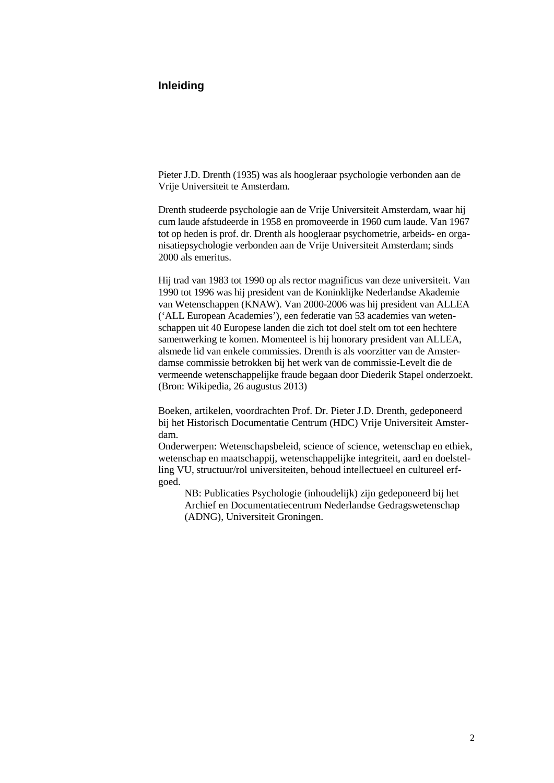### **Inleiding**

Pieter J.D. Drenth (1935) was als hoogleraar psychologie verbonden aan de Vrije Universiteit te Amsterdam.

Drenth studeerde psychologie aan de Vrije Universiteit Amsterdam, waar hij cum laude afstudeerde in 1958 en promoveerde in 1960 cum laude. Van 1967 tot op heden is prof. dr. Drenth als hoogleraar psychometrie, arbeids- en organisatiepsychologie verbonden aan de Vrije Universiteit Amsterdam; sinds 2000 als emeritus.

Hij trad van 1983 tot 1990 op als rector magnificus van deze universiteit. Van 1990 tot 1996 was hij president van de Koninklijke Nederlandse Akademie van Wetenschappen (KNAW). Van 2000-2006 was hij president van ALLEA ('ALL European Academies'), een federatie van 53 academies van wetenschappen uit 40 Europese landen die zich tot doel stelt om tot een hechtere samenwerking te komen. Momenteel is hij honorary president van ALLEA, alsmede lid van enkele commissies. Drenth is als voorzitter van de Amsterdamse commissie betrokken bij het werk van de commissie-Levelt die de vermeende wetenschappelijke fraude begaan door Diederik Stapel onderzoekt. (Bron: Wikipedia, 26 augustus 2013)

Boeken, artikelen, voordrachten Prof. Dr. Pieter J.D. Drenth, gedeponeerd bij het Historisch Documentatie Centrum (HDC) Vrije Universiteit Amsterdam.

Onderwerpen: Wetenschapsbeleid, science of science, wetenschap en ethiek, wetenschap en maatschappij, wetenschappelijke integriteit, aard en doelstelling VU, structuur/rol universiteiten, behoud intellectueel en cultureel erfgoed.

NB: Publicaties Psychologie (inhoudelijk) zijn gedeponeerd bij het Archief en Documentatiecentrum Nederlandse Gedragswetenschap (ADNG), Universiteit Groningen.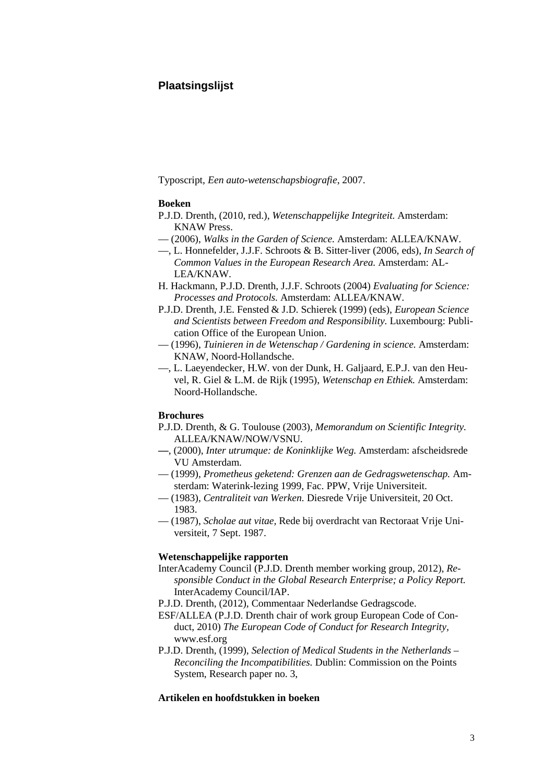## **Plaatsingslijst**

Typoscript, *Een auto-wetenschapsbiografie*, 2007.

#### **Boeken**

- P.J.D. Drenth, (2010, red.), *Wetenschappelijke Integriteit.* Amsterdam: KNAW Press.
- (2006), *Walks in the Garden of Science.* Amsterdam: ALLEA/KNAW.
- —, L. Honnefelder, J.J.F. Schroots & B. Sitter-liver (2006, eds), *In Search of Common Values in the European Research Area.* Amsterdam: AL-LEA/KNAW.
- H. Hackmann, P.J.D. Drenth, J.J.F. Schroots (2004) *Evaluating for Science: Processes and Protocols.* Amsterdam: ALLEA/KNAW.
- P.J.D. Drenth, J.E. Fensted & J.D. Schierek (1999) (eds), *European Science and Scientists between Freedom and Responsibility.* Luxembourg: Publication Office of the European Union.
- (1996), *Tuinieren in de Wetenschap / Gardening in science.* Amsterdam: KNAW, Noord-Hollandsche.
- —, L. Laeyendecker, H.W. von der Dunk, H. Galjaard, E.P.J. van den Heuvel, R. Giel & L.M. de Rijk (1995), *Wetenschap en Ethiek.* Amsterdam: Noord-Hollandsche.

#### **Brochures**

- P.J.D. Drenth, & G. Toulouse (2003), *Memorandum on Scientific Integrity.* ALLEA/KNAW/NOW/VSNU.
- **—**, (2000), *Inter utrumque: de Koninklijke Weg.* Amsterdam: afscheidsrede VU Amsterdam.
- (1999), *Prometheus geketend: Grenzen aan de Gedragswetenschap.* Amsterdam: Waterink-lezing 1999, Fac. PPW, Vrije Universiteit.
- (1983), *Centraliteit van Werken.* Diesrede Vrije Universiteit, 20 Oct. 1983.
- (1987), *Scholae aut vitae,* Rede bij overdracht van Rectoraat Vrije Universiteit, 7 Sept. 1987.

#### **Wetenschappelijke rapporten**

- InterAcademy Council (P.J.D. Drenth member working group, 2012), *Responsible Conduct in the Global Research Enterprise; a Policy Report.* InterAcademy Council/IAP.
- P.J.D. Drenth, (2012), Commentaar Nederlandse Gedragscode.
- ESF/ALLEA (P.J.D. Drenth chair of work group European Code of Conduct, 2010) *The European Code of Conduct for Research Integrity,* www.esf.org
- P.J.D. Drenth, (1999), *Selection of Medical Students in the Netherlands – Reconciling the Incompatibilities.* Dublin: Commission on the Points System, Research paper no. 3,

#### **Artikelen en hoofdstukken in boeken**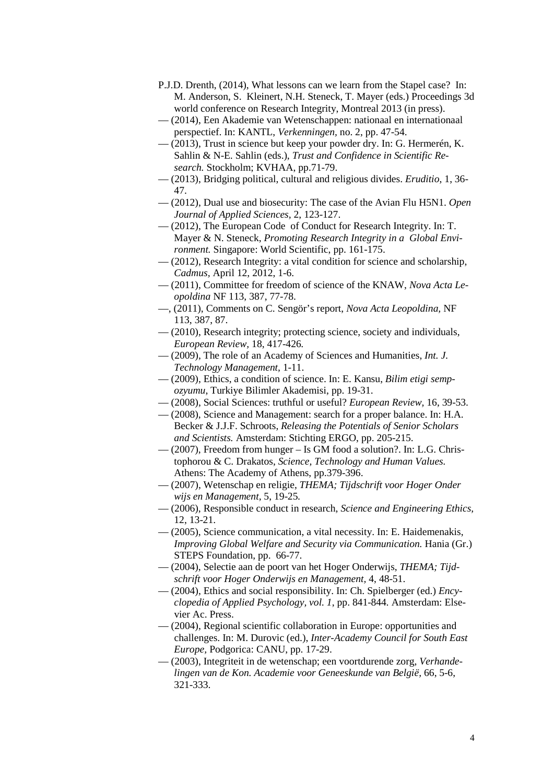- P.J.D. Drenth, (2014), What lessons can we learn from the Stapel case? In: M. Anderson, S. Kleinert, N.H. Steneck, T. Mayer (eds.) Proceedings 3d world conference on Research Integrity, Montreal 2013 (in press).
- (2014), Een Akademie van Wetenschappen: nationaal en internationaal perspectief. In: KANTL, *Verkenningen,* no. 2, pp. 47-54.
- (2013), Trust in science but keep your powder dry. In: G. Hermerén, K. Sahlin & N-E. Sahlin (eds.), *Trust and Confidence in Scientific Research.* Stockholm; KVHAA, pp.71-79.
- (2013), Bridging political, cultural and religious divides. *Eruditio*, 1, 36- 47.
- (2012), Dual use and biosecurity: The case of the Avian Flu H5N1. *Open Journal of Applied Sciences,* 2, 123-127.
- (2012), The European Code of Conduct for Research Integrity. In: T. Mayer & N. Steneck, *Promoting Research Integrity in a Global Environment.* Singapore: World Scientific, pp. 161-175.
- (2012), Research Integrity: a vital condition for science and scholarship, *Cadmus,* April 12, 2012, 1-6.
- (2011), Committee for freedom of science of the KNAW, *Nova Acta Leopoldina* NF 113, 387, 77-78.
- —, (2011), Comments on C. Sengör's report, *Nova Acta Leopoldina,* NF 113, 387, 87.
- (2010), Research integrity; protecting science, society and individuals, *European Review,* 18, 417-426*.*
- (2009), The role of an Academy of Sciences and Humanities, *Int. J. Technology Management,* 1-11.
- (2009), Ethics, a condition of science. In: E. Kansu, *Bilim etigi sempozyumu*, Turkiye Bilimler Akademisi, pp. 19-31.
- (2008), Social Sciences: truthful or useful? *European Review,* 16, 39-53.
- (2008), Science and Management: search for a proper balance. In: H.A. Becker & J.J.F. Schroots, *Releasing the Potentials of Senior Scholars and Scientists.* Amsterdam: Stichting ERGO, pp. 205-215.
- (2007), Freedom from hunger Is GM food a solution?. In: L.G. Christophorou & C. Drakatos, *Science, Technology and Human Values.* Athens: The Academy of Athens, pp.379-396.
- (2007), Wetenschap en religie, *THEMA; Tijdschrift voor Hoger Onder wijs en Management,* 5, 19-25*.*
- (2006), Responsible conduct in research, *Science and Engineering Ethics,* 12, 13-21.
- (2005), Science communication, a vital necessity. In: E. Haidemenakis, *Improving Global Welfare and Security via Communication.* Hania (Gr.) STEPS Foundation, pp. 66-77.
- (2004), Selectie aan de poort van het Hoger Onderwijs, *THEMA; Tijdschrift voor Hoger Onderwijs en Management,* 4, 48-51.
- (2004), Ethics and social responsibility. In: Ch. Spielberger (ed.) *Encyclopedia of Applied Psychology, vol. 1*, pp. 841-844*.* Amsterdam: Elsevier Ac. Press.
- (2004), Regional scientific collaboration in Europe: opportunities and challenges. In: M. Durovic (ed.), *Inter-Academy Council for South East Europe,* Podgorica: CANU, pp. 17-29.
- (2003), Integriteit in de wetenschap; een voortdurende zorg, *Verhandelingen van de Kon. Academie voor Geneeskunde van België,* 66, 5-6, 321-333.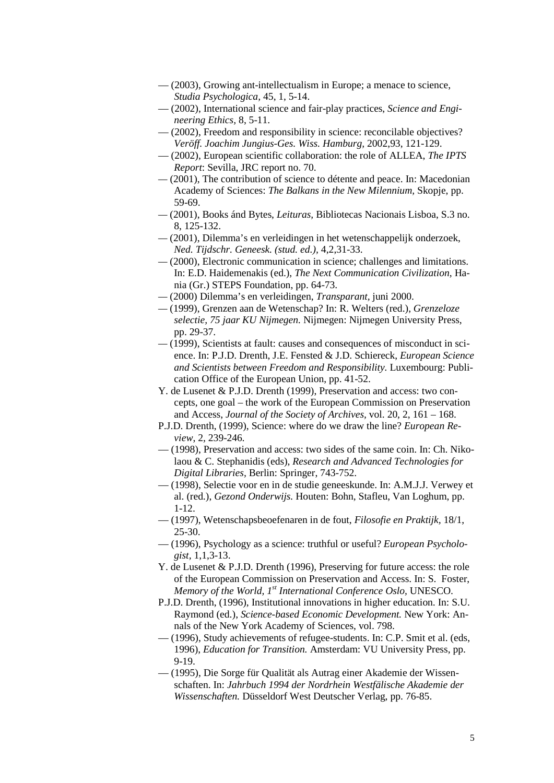- (2003), Growing ant-intellectualism in Europe; a menace to science, *Studia Psychologica,* 45, 1, 5-14.
- (2002), International science and fair-play practices, *Science and Engineering Ethics,* 8, 5-11.
- (2002), Freedom and responsibility in science: reconcilable objectives? *Veröff. Joachim Jungius-Ges. Wiss. Hamburg,* 2002,93, 121-129.
- (2002), European scientific collaboration: the role of ALLEA, *The IPTS Report*: Sevilla, JRC report no. 70.
- *—* (2001), The contribution of science to détente and peace. In: Macedonian Academy of Sciences: *The Balkans in the New Milennium,* Skopje, pp. 59-69.
- *—* (2001), Books ánd Bytes, *Leituras,* Bibliotecas Nacionais Lisboa, S.3 no. 8, 125-132.
- *—* (2001), Dilemma's en verleidingen in het wetenschappelijk onderzoek, *Ned. Tijdschr. Geneesk. (stud. ed.),* 4,2,31-33.
- *—* (2000), Electronic communication in science; challenges and limitations. In: E.D. Haidemenakis (ed.), *The Next Communication Civilization*, Hania (Gr.) STEPS Foundation, pp. 64-73.
- *—* (2000) Dilemma's en verleidingen, *Transparant,* juni 2000.
- *—* (1999), Grenzen aan de Wetenschap? In: R. Welters (red.), *Grenzeloze selectie, 75 jaar KU Nijmegen.* Nijmegen: Nijmegen University Press, pp. 29-37.
- *—* (1999), Scientists at fault: causes and consequences of misconduct in science. In: P.J.D. Drenth, J.E. Fensted & J.D. Schiereck, *European Science and Scientists between Freedom and Responsibility.* Luxembourg: Publication Office of the European Union, pp. 41-52.
- Y. de Lusenet & P.J.D. Drenth (1999), Preservation and access: two concepts, one goal – the work of the European Commission on Preservation and Access, *Journal of the Society of Archives,* vol. 20, 2, 161 – 168.
- P.J.D. Drenth, (1999), Science: where do we draw the line? *European Review*, 2, 239-246*.*
- (1998), Preservation and access: two sides of the same coin. In: Ch. Nikolaou & C. Stephanidis (eds), *Research and Advanced Technologies for Digital Libraries,* Berlin: Springer, 743-752.
- (1998), Selectie voor en in de studie geneeskunde. In: A.M.J.J. Verwey et al. (red.), *Gezond Onderwijs.* Houten: Bohn, Stafleu, Van Loghum, pp. 1-12.
- (1997), Wetenschapsbeoefenaren in de fout, *Filosofie en Praktijk,* 18/1, 25-30.
- (1996), Psychology as a science: truthful or useful? *European Psychologist,* 1,1,3-13.
- Y. de Lusenet & P.J.D. Drenth (1996), Preserving for future access: the role of the European Commission on Preservation and Access. In: S. Foster, *Memory of the World, 1st International Conference Oslo,* UNESCO.
- P.J.D. Drenth, (1996), Institutional innovations in higher education. In: S.U. Raymond (ed.), *Science-based Economic Development.* New York: Annals of the New York Academy of Sciences, vol. 798.
- (1996), Study achievements of refugee-students. In: C.P. Smit et al. (eds, 1996), *Education for Transition.* Amsterdam: VU University Press, pp. 9-19.
- (1995), Die Sorge für Qualität als Autrag einer Akademie der Wissenschaften. In: *Jahrbuch 1994 der Nordrhein Westfälische Akademie der Wissenschaften.* Düsseldorf West Deutscher Verlag, pp. 76-85.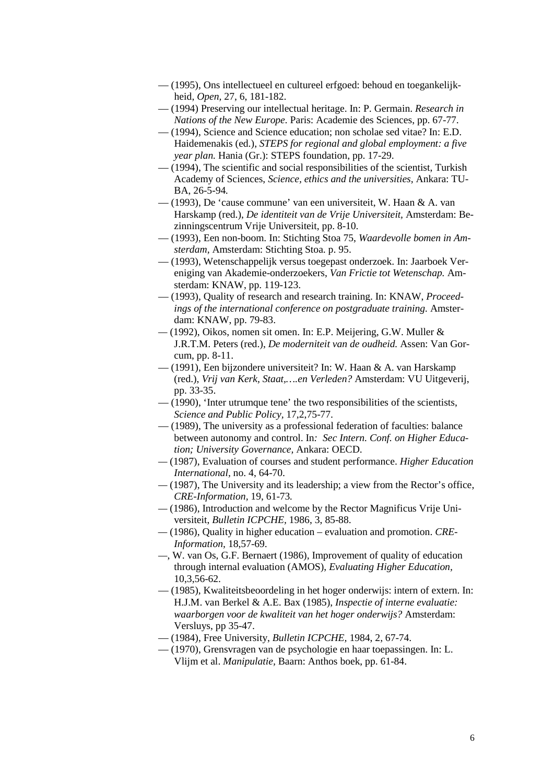- (1995), Ons intellectueel en cultureel erfgoed: behoud en toegankelijkheid, *Open,* 27, 6, 181-182.
- (1994) Preserving our intellectual heritage. In: P. Germain. *Research in Nations of the New Europe.* Paris: Academie des Sciences, pp. 67-77.
- (1994), Science and Science education; non scholae sed vitae? In: E.D. Haidemenakis (ed.), *STEPS for regional and global employment: a five year plan.* Hania (Gr.): STEPS foundation, pp. 17-29.
- (1994), The scientific and social responsibilities of the scientist, Turkish Academy of Sciences, *Science, ethics and the universities,* Ankara: TU-BA, 26-5-94*.*
- (1993), De 'cause commune' van een universiteit, W. Haan & A. van Harskamp (red.), *De identiteit van de Vrije Universiteit,* Amsterdam: Bezinningscentrum Vrije Universiteit, pp. 8-10.
- (1993), Een non-boom. In: Stichting Stoa 75, *Waardevolle bomen in Amsterdam,* Amsterdam: Stichting Stoa. p. 95.
- (1993), Wetenschappelijk versus toegepast onderzoek. In: Jaarboek Vereniging van Akademie-onderzoekers, *Van Frictie tot Wetenschap.* Amsterdam: KNAW, pp. 119-123.
- (1993), Quality of research and research training. In: KNAW, *Proceedings of the international conference on postgraduate training.* Amsterdam: KNAW, pp. 79-83.
- *—* (1992), Oikos, nomen sit omen. In: E.P. Meijering, G.W. Muller & J.R.T.M. Peters (red.), *De moderniteit van de oudheid.* Assen: Van Gorcum, pp. 8-11.
- (1991), Een bijzondere universiteit? In: W. Haan & A. van Harskamp (red.), *Vrij van Kerk, Staat,….en Verleden?* Amsterdam: VU Uitgeverij, pp. 33-35.
- (1990), 'Inter utrumque tene' the two responsibilities of the scientists, *Science and Public Policy,* 17,2,75-77.
- (1989), The university as a professional federation of faculties: balance between autonomy and control. In*: Sec Intern. Conf. on Higher Education; University Governance,* Ankara: OECD.
- *—* (1987), Evaluation of courses and student performance. *Higher Education International,* no. 4, 64-70.
- *—* (1987), The University and its leadership; a view from the Rector's office, *CRE-Information,* 19, 61-73*.*
- *—* (1986), Introduction and welcome by the Rector Magnificus Vrije Universiteit, *Bulletin ICPCHE,* 1986, 3, 85-88.
- *—* (1986), Quality in higher education evaluation and promotion. *CRE-Information,* 18,57-69.
- *—*, W. van Os, G.F. Bernaert (1986), Improvement of quality of education through internal evaluation (AMOS), *Evaluating Higher Education,* 10,3,56-62.
- (1985), Kwaliteitsbeoordeling in het hoger onderwijs: intern of extern. In: H.J.M. van Berkel & A.E. Bax (1985), *Inspectie of interne evaluatie: waarborgen voor de kwaliteit van het hoger onderwijs?* Amsterdam: Versluys, pp 35-47.
- (1984), Free University, *Bulletin ICPCHE,* 1984, 2, 67-74.
- (1970), Grensvragen van de psychologie en haar toepassingen. In: L. Vlijm et al. *Manipulatie,* Baarn: Anthos boek, pp. 61-84.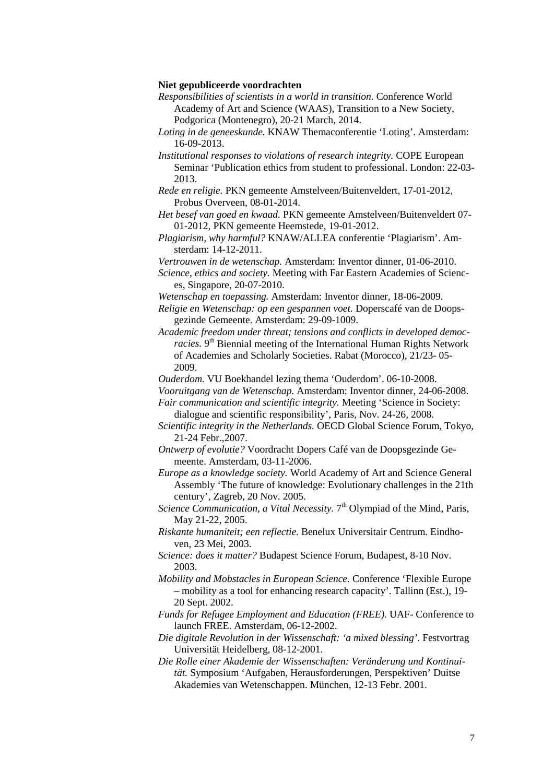#### **Niet gepubliceerde voordrachten**

- *Responsibilities of scientists in a world in transition.* Conference World Academy of Art and Science (WAAS), Transition to a New Society, Podgorica (Montenegro), 20-21 March, 2014.
- *Loting in de geneeskunde.* KNAW Themaconferentie 'Loting'. Amsterdam: 16-09-2013.
- *Institutional responses to violations of research integrity.* COPE European Seminar 'Publication ethics from student to professional. London: 22-03- 2013.
- *Rede en religie.* PKN gemeente Amstelveen/Buitenveldert, 17-01-2012, Probus Overveen, 08-01-2014.
- *Het besef van goed en kwaad.* PKN gemeente Amstelveen/Buitenveldert 07- 01-2012, PKN gemeente Heemstede, 19-01-2012.
- *Plagiarism, why harmful?* KNAW/ALLEA conferentie 'Plagiarism'. Amsterdam: 14-12-2011.
- *Vertrouwen in de wetenschap.* Amsterdam: Inventor dinner, 01-06-2010.
- *Science, ethics and society.* Meeting with Far Eastern Academies of Sciences, Singapore, 20-07-2010.
- *Wetenschap en toepassing.* Amsterdam: Inventor dinner, 18-06-2009.
- *Religie en Wetenschap: op een gespannen voet.* Doperscafé van de Doopsgezinde Gemeente. Amsterdam: 29-09-1009.
- *Academic freedom under threat; tensions and conflicts in developed democracies.* 9<sup>th</sup> Biennial meeting of the International Human Rights Network of Academies and Scholarly Societies. Rabat (Morocco), 21/23- 05- 2009.
- *Ouderdom.* VU Boekhandel lezing thema 'Ouderdom'. 06-10-2008.
- *Vooruitgang van de Wetenschap.* Amsterdam: Inventor dinner, 24-06-2008.
- *Fair communication and scientific integrity.* Meeting 'Science in Society: dialogue and scientific responsibility', Paris, Nov. 24-26, 2008.
- *Scientific integrity in the Netherlands.* OECD Global Science Forum, Tokyo, 21-24 Febr.,2007.
- *Ontwerp of evolutie?* Voordracht Dopers Café van de Doopsgezinde Gemeente. Amsterdam, 03-11-2006.
- *Europe as a knowledge society.* World Academy of Art and Science General Assembly 'The future of knowledge: Evolutionary challenges in the 21th century', Zagreb, 20 Nov. 2005.
- *Science Communication, a Vital Necessity.* 7<sup>th</sup> Olympiad of the Mind, Paris, May 21-22, 2005.
- *Riskante humaniteit; een reflectie.* Benelux Universitair Centrum. Eindhoven, 23 Mei, 2003.
- *Science: does it matter?* Budapest Science Forum, Budapest, 8-10 Nov. 2003.
- *Mobility and Mobstacles in European Science.* Conference 'Flexible Europe – mobility as a tool for enhancing research capacity'. Tallinn (Est.), 19- 20 Sept. 2002.
- *Funds for Refugee Employment and Education (FREE).* UAF- Conference to launch FREE. Amsterdam, 06-12-2002.
- *Die digitale Revolution in der Wissenschaft: 'a mixed blessing'.* Festvortrag Universität Heidelberg, 08-12-2001.
- *Die Rolle einer Akademie der Wissenschaften: Veränderung und Kontinuität.* Symposium 'Aufgaben, Herausforderungen, Perspektiven' Duitse Akademies van Wetenschappen. München, 12-13 Febr. 2001.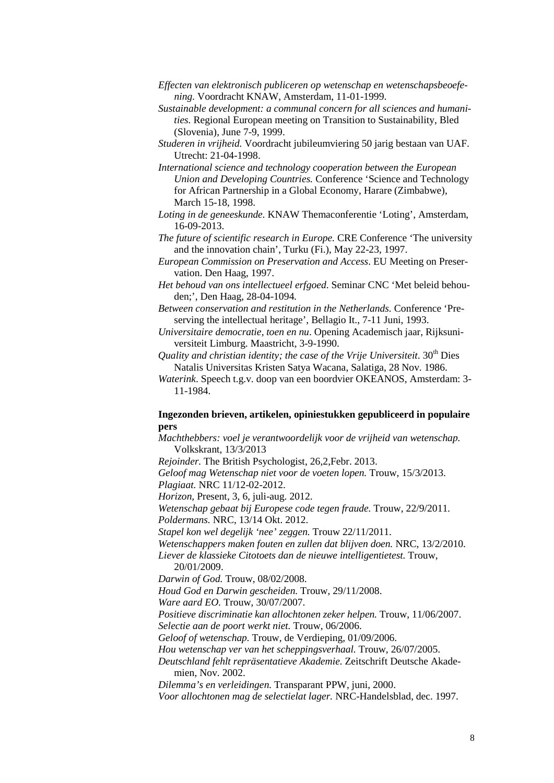- *Effecten van elektronisch publiceren op wetenschap en wetenschapsbeoefening.* Voordracht KNAW, Amsterdam, 11-01-1999.
- *Sustainable development: a communal concern for all sciences and humanities.* Regional European meeting on Transition to Sustainability, Bled (Slovenia), June 7-9, 1999.
- *Studeren in vrijheid.* Voordracht jubileumviering 50 jarig bestaan van UAF. Utrecht: 21-04-1998.
- *International science and technology cooperation between the European Union and Developing Countries.* Conference 'Science and Technology for African Partnership in a Global Economy, Harare (Zimbabwe), March 15-18, 1998.
- *Loting in de geneeskunde.* KNAW Themaconferentie 'Loting', Amsterdam, 16-09-2013.
- *The future of scientific research in Europe.* CRE Conference 'The university and the innovation chain', Turku (Fi.), May 22-23, 1997.
- *European Commission on Preservation and Access*. EU Meeting on Preservation. Den Haag, 1997.
- *Het behoud van ons intellectueel erfgoed*. Seminar CNC 'Met beleid behouden;', Den Haag, 28-04-1094*.*
- *Between conservation and restitution in the Netherlands.* Conference 'Preserving the intellectual heritage', Bellagio It., 7-11 Juni, 1993.

*Universitaire democratie, toen en nu*. Opening Academisch jaar, Rijksuniversiteit Limburg. Maastricht, 3-9-1990.

*Quality and christian identity; the case of the Vrije Universiteit*. 30th Dies Natalis Universitas Kristen Satya Wacana, Salatiga, 28 Nov. 1986.

*Waterink*. Speech t.g.v. doop van een boordvier OKEANOS, Amsterdam: 3- 11-1984.

#### **Ingezonden brieven, artikelen, opiniestukken gepubliceerd in populaire pers**

*Machthebbers: voel je verantwoordelijk voor de vrijheid van wetenschap.* Volkskrant, 13/3/2013

*Rejoinder.* The British Psychologist, 26,2,Febr. 2013. *Geloof mag Wetenschap niet voor de voeten lopen.* Trouw, 15/3/2013.

*Plagiaat.* NRC 11/12-02-2012.

*Horizon,* Present, 3, 6, juli-aug. 2012.

*Wetenschap gebaat bij Europese code tegen fraude.* Trouw, 22/9/2011. *Poldermans.* NRC, 13/14 Okt. 2012.

*Stapel kon wel degelijk 'nee' zeggen.* Trouw 22/11/2011.

*Wetenschappers maken fouten en zullen dat blijven doen.* NRC, 13/2/2010. *Liever de klassieke Citotoets dan de nieuwe intelligentietest.* Trouw,

20/01/2009.

*Darwin of God.* Trouw, 08/02/2008.

*Houd God en Darwin gescheiden.* Trouw, 29/11/2008.

*Ware aard EO.* Trouw, 30/07/2007.

*Positieve discriminatie kan allochtonen zeker helpen.* Trouw, 11/06/2007. *Selectie aan de poort werkt niet.* Trouw, 06/2006.

*Geloof of wetenschap.* Trouw, de Verdieping, 01/09/2006.

*Hou wetenschap ver van het scheppingsverhaal.* Trouw, 26/07/2005.

*Deutschland fehlt repräsentatieve Akademie.* Zeitschrift Deutsche Akademien, Nov. 2002.

*Dilemma's en verleidingen.* Transparant PPW, juni, 2000.

*Voor allochtonen mag de selectielat lager.* NRC-Handelsblad, dec. 1997.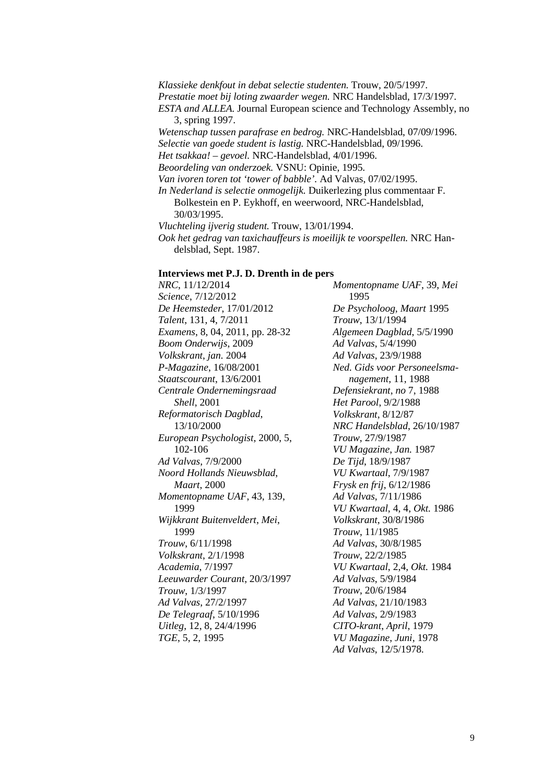*Klassieke denkfout in debat selectie studenten.* Trouw, 20/5/1997. *Prestatie moet bij loting zwaarder wegen.* NRC Handelsblad, 17/3/1997. *ESTA and ALLEA.* Journal European science and Technology Assembly, no 3, spring 1997. *Wetenschap tussen parafrase en bedrog.* NRC-Handelsblad, 07/09/1996. *Selectie van goede student is lastig.* NRC-Handelsblad, 09/1996. *Het tsakkaa! – gevoel.* NRC-Handelsblad, 4/01/1996. *Beoordeling van onderzoek.* VSNU: Opinie, 1995. *Van ivoren toren tot 'tower of babble'.* Ad Valvas, 07/02/1995. *In Nederland is selectie onmogelijk.* Duikerlezing plus commentaar F. Bolkestein en P. Eykhoff, en weerwoord, NRC-Handelsblad, 30/03/1995. *Vluchteling ijverig student.* Trouw, 13/01/1994. *Ook het gedrag van taxichauffeurs is moeilijk te voorspellen.* NRC Handelsblad, Sept. 1987.

#### **Interviews met P.J. D. Drenth in de pers**

*NRC*, 11/12/2014 *Science*, 7/12/2012 *De Heemsteder*, 17/01/2012 *Talent*, 131, 4, 7/2011 *Examens*, 8, 04, 2011, pp. 28-32 *Boom Onderwijs*, 2009 *Volkskrant*, *jan.* 2004 *P*-*Magazine*, 16/08/2001 *Staatscourant*, 13/6/2001 *Centrale Ondernemingsraad Shell*, 2001 *Reformatorisch Dagblad*, 13/10/2000 *European Psychologist*, 2000, 5, 102-106 *Ad Valvas*, 7/9/2000 *Noord Hollands Nieuwsblad*, *Maart*, 2000 *Momentopname UAF*, 43, 139, 1999 *Wijkkrant Buitenveldert*, *Mei*, 1999 *Trouw*, 6/11/1998 *Volkskrant*, 2/1/1998 *Academia*, 7/1997 *Leeuwarder Courant*, 20/3/1997 *Trouw*, 1/3/1997 *Ad Valvas*, 27/2/1997 *De Telegraaf*, 5/10/1996 *Uitleg*, 12, 8, 24/4/1996 *TGE*, 5, 2, 1995

*Momentopname UAF*, 39, *Mei* 1995 *De Psycholoog*, *Maart* 1995 *Trouw*, 13/1/1994 *Algemeen Dagblad*, 5/5/1990 *Ad Valvas*, 5/4/1990 *Ad Valvas*, 23/9/1988 *Ned. Gids voor Personeelsmanagement*, 11, 1988 *Defensiekrant*, *no* 7, 1988 *Het Parool*, 9/2/1988 *Volkskrant*, 8/12/87 *NRC Handelsblad*, 26/10/1987 *Trouw*, 27/9/1987 *VU Magazine*, *Jan.* 1987 *De Tijd*, 18/9/1987 *VU Kwartaal*, 7/9/1987 *Frysk en frij*, 6/12/1986 *Ad Valvas*, 7/11/1986 *VU Kwartaal*, 4, 4, *Okt.* 1986 *Volkskrant*, 30/8/1986 *Trouw*, 11/1985 *Ad Valvas*, 30/8/1985 *Trouw*, 22/2/1985 *VU Kwartaal*, 2,4, *Okt.* 1984 *Ad Valvas*, 5/9/1984 *Trouw*, 20/6/1984 *Ad Valvas*, 21/10/1983 *Ad Valvas*, 2/9/1983 *CITO*-*krant*, *April*, 1979 *VU Magazine*, *Juni*, 1978 *Ad Valvas*, 12/5/1978*.*